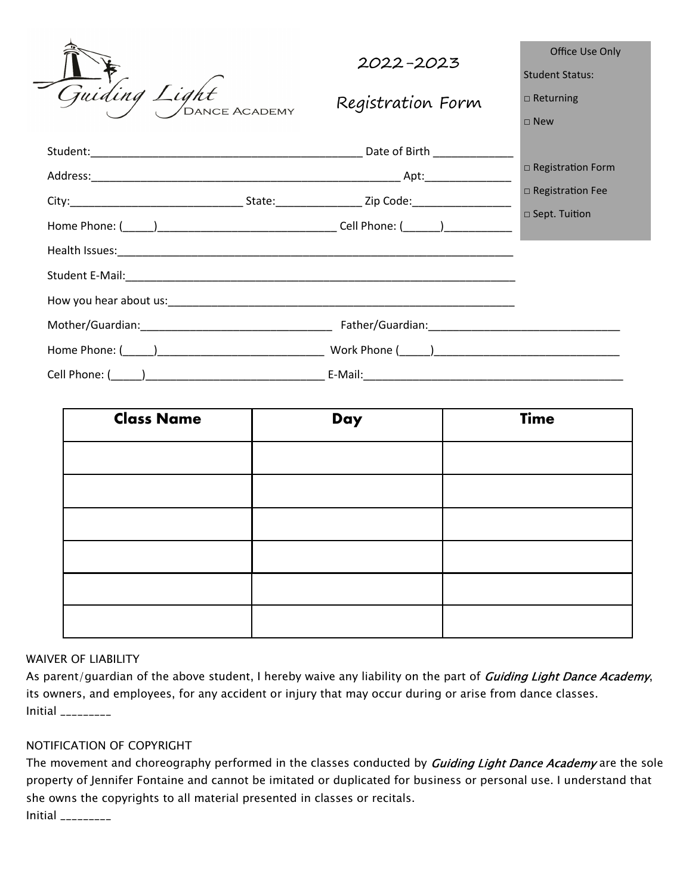| Guiding Light<br>,<br>Dance Academy | 2022-2023                                                                                                                                                                                                                      | Office Use Only<br><b>Student Status:</b>                    |
|-------------------------------------|--------------------------------------------------------------------------------------------------------------------------------------------------------------------------------------------------------------------------------|--------------------------------------------------------------|
|                                     | Registration Form                                                                                                                                                                                                              | $\Box$ Returning<br>$\sqcap$ New                             |
|                                     |                                                                                                                                                                                                                                | □ Registration Form<br>□ Registration Fee<br>□ Sept. Tuition |
|                                     |                                                                                                                                                                                                                                |                                                              |
|                                     |                                                                                                                                                                                                                                |                                                              |
|                                     |                                                                                                                                                                                                                                |                                                              |
|                                     |                                                                                                                                                                                                                                |                                                              |
|                                     | Work Phone ( ) and a set of the set of the set of the set of the set of the set of the set of the set of the set of the set of the set of the set of the set of the set of the set of the set of the set of the set of the set |                                                              |
|                                     | E-Mail:                                                                                                                                                                                                                        |                                                              |

| <b>Class Name</b> | Day | <b>Time</b> |
|-------------------|-----|-------------|
|                   |     |             |
|                   |     |             |
|                   |     |             |
|                   |     |             |
|                   |     |             |
|                   |     |             |

## WAIVER OF LIABILITY

 $\overline{a}$ 

As parent/guardian of the above student, I hereby waive any liability on the part of Guiding Light Dance Academy, its owners, and employees, for any accident or injury that may occur during or arise from dance classes. Initial \_\_\_\_\_\_\_\_\_

## NOTIFICATION OF COPYRIGHT

The movement and choreography performed in the classes conducted by **Guiding Light Dance Academy** are the sole property of Jennifer Fontaine and cannot be imitated or duplicated for business or personal use. I understand that she owns the copyrights to all material presented in classes or recitals. Initial \_\_\_\_\_\_\_\_\_